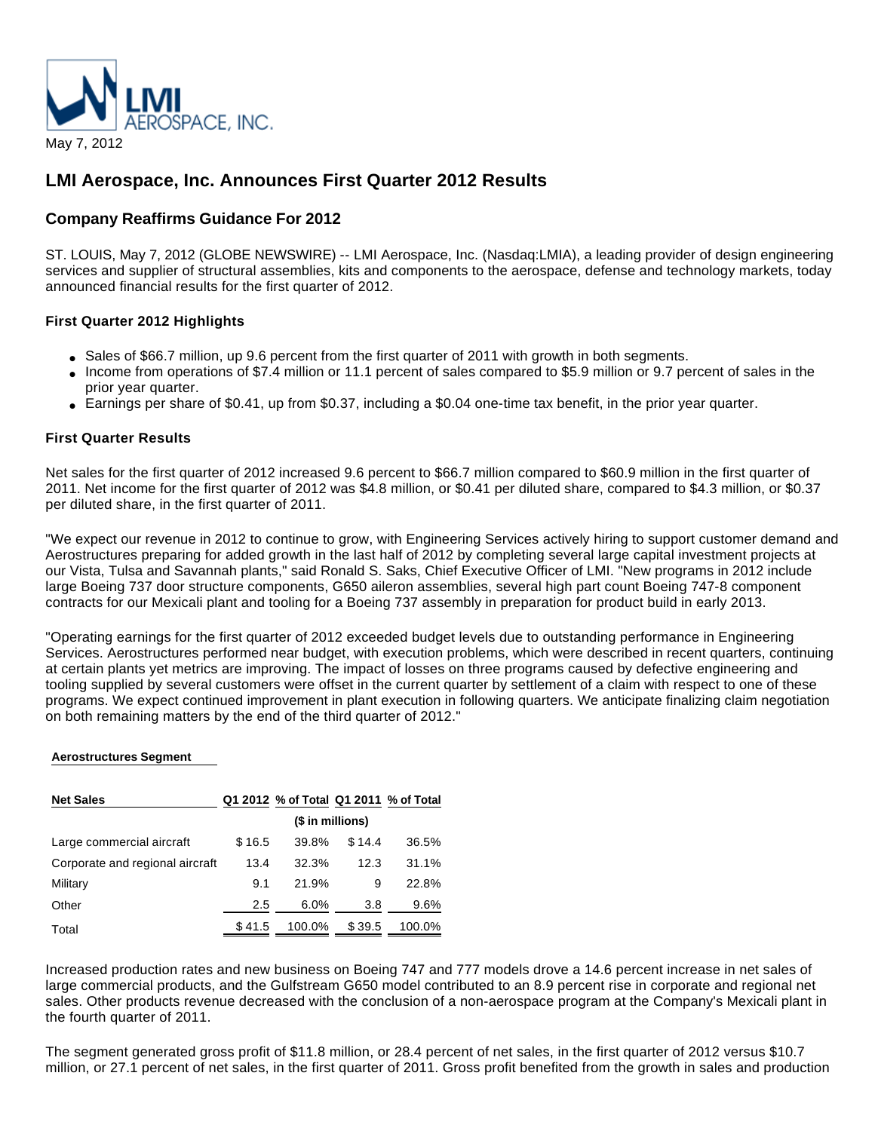

## **LMI Aerospace, Inc. Announces First Quarter 2012 Results**

## **Company Reaffirms Guidance For 2012**

ST. LOUIS, May 7, 2012 (GLOBE NEWSWIRE) -- LMI Aerospace, Inc. (Nasdaq:LMIA), a leading provider of design engineering services and supplier of structural assemblies, kits and components to the aerospace, defense and technology markets, today announced financial results for the first quarter of 2012.

#### **First Quarter 2012 Highlights**

- Sales of \$66.7 million, up 9.6 percent from the first quarter of 2011 with growth in both segments.
- Income from operations of \$7.4 million or 11.1 percent of sales compared to \$5.9 million or 9.7 percent of sales in the prior year quarter.
- $\bullet$  Earnings per share of \$0.41, up from \$0.37, including a \$0.04 one-time tax benefit, in the prior year quarter.

#### **First Quarter Results**

Net sales for the first quarter of 2012 increased 9.6 percent to \$66.7 million compared to \$60.9 million in the first quarter of 2011. Net income for the first quarter of 2012 was \$4.8 million, or \$0.41 per diluted share, compared to \$4.3 million, or \$0.37 per diluted share, in the first quarter of 2011.

"We expect our revenue in 2012 to continue to grow, with Engineering Services actively hiring to support customer demand and Aerostructures preparing for added growth in the last half of 2012 by completing several large capital investment projects at our Vista, Tulsa and Savannah plants," said Ronald S. Saks, Chief Executive Officer of LMI. "New programs in 2012 include large Boeing 737 door structure components, G650 aileron assemblies, several high part count Boeing 747-8 component contracts for our Mexicali plant and tooling for a Boeing 737 assembly in preparation for product build in early 2013.

"Operating earnings for the first quarter of 2012 exceeded budget levels due to outstanding performance in Engineering Services. Aerostructures performed near budget, with execution problems, which were described in recent quarters, continuing at certain plants yet metrics are improving. The impact of losses on three programs caused by defective engineering and tooling supplied by several customers were offset in the current quarter by settlement of a claim with respect to one of these programs. We expect continued improvement in plant execution in following quarters. We anticipate finalizing claim negotiation on both remaining matters by the end of the third quarter of 2012."

#### **Aerostructures Segment**

| <b>Net Sales</b>                |                  | Q1 2012 % of Total Q1 2011 % of Total |        |        |
|---------------------------------|------------------|---------------------------------------|--------|--------|
|                                 | (\$ in millions) |                                       |        |        |
| Large commercial aircraft       | \$16.5           | 39.8%                                 | \$14.4 | 36.5%  |
| Corporate and regional aircraft | 13.4             | 32.3%                                 | 12.3   | 31.1%  |
| Military                        | 9.1              | 21.9%                                 | 9      | 22.8%  |
| Other                           | 2.5              | $6.0\%$                               | 3.8    | 9.6%   |
| Total                           | \$41.5           | 100.0%                                | \$39.5 | 100.0% |

Increased production rates and new business on Boeing 747 and 777 models drove a 14.6 percent increase in net sales of large commercial products, and the Gulfstream G650 model contributed to an 8.9 percent rise in corporate and regional net sales. Other products revenue decreased with the conclusion of a non-aerospace program at the Company's Mexicali plant in the fourth quarter of 2011.

The segment generated gross profit of \$11.8 million, or 28.4 percent of net sales, in the first quarter of 2012 versus \$10.7 million, or 27.1 percent of net sales, in the first quarter of 2011. Gross profit benefited from the growth in sales and production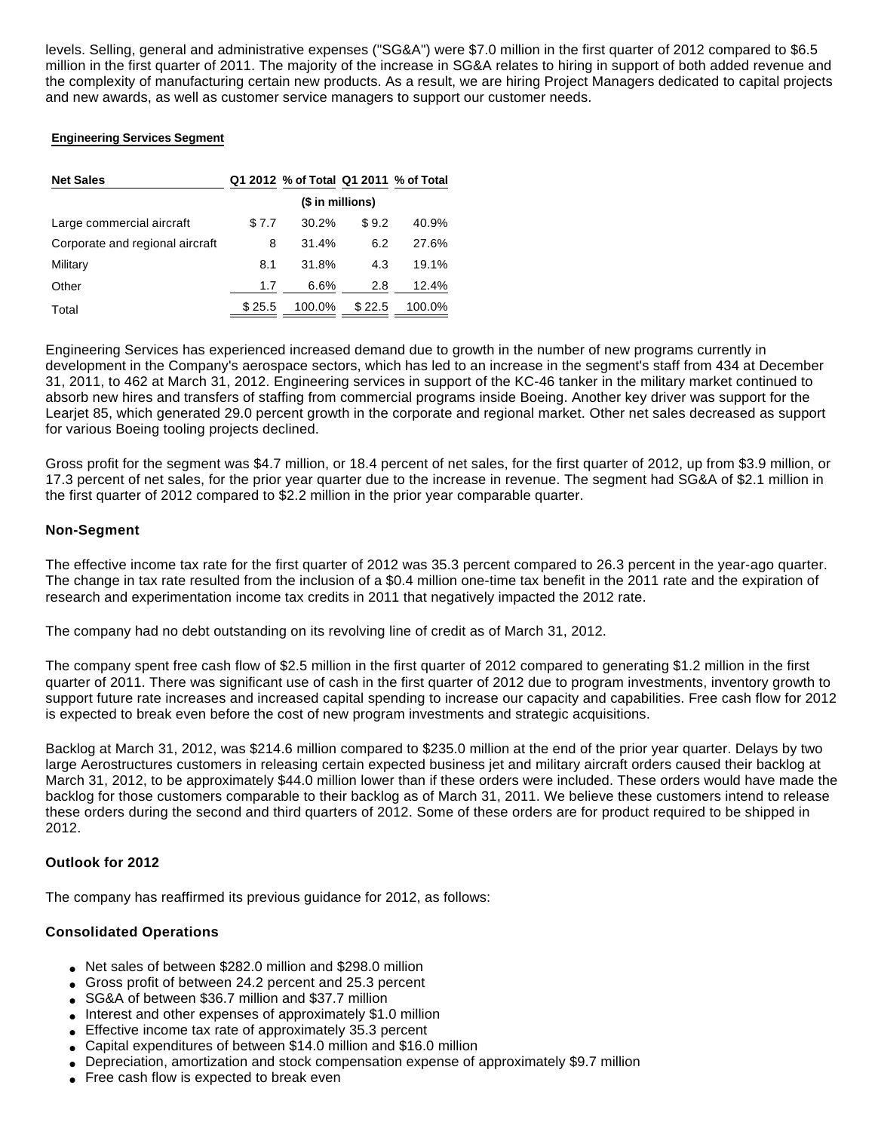levels. Selling, general and administrative expenses ("SG&A") were \$7.0 million in the first quarter of 2012 compared to \$6.5 million in the first quarter of 2011. The majority of the increase in SG&A relates to hiring in support of both added revenue and the complexity of manufacturing certain new products. As a result, we are hiring Project Managers dedicated to capital projects and new awards, as well as customer service managers to support our customer needs.

#### **Engineering Services Segment**

| <b>Net Sales</b>                |                  | Q1 2012 % of Total Q1 2011 % of Total |        |        |
|---------------------------------|------------------|---------------------------------------|--------|--------|
|                                 | (\$ in millions) |                                       |        |        |
| Large commercial aircraft       | \$7.7            | 30.2%                                 | \$9.2  | 40.9%  |
| Corporate and regional aircraft | 8                | 31.4%                                 | 6.2    | 27.6%  |
| Military                        | 8.1              | 31.8%                                 | 4.3    | 19.1%  |
| Other                           | 1.7              | 6.6%                                  | 2.8    | 12.4%  |
| Total                           | \$25.5           | 100.0%                                | \$22.5 | 100.0% |

Engineering Services has experienced increased demand due to growth in the number of new programs currently in development in the Company's aerospace sectors, which has led to an increase in the segment's staff from 434 at December 31, 2011, to 462 at March 31, 2012. Engineering services in support of the KC-46 tanker in the military market continued to absorb new hires and transfers of staffing from commercial programs inside Boeing. Another key driver was support for the Learjet 85, which generated 29.0 percent growth in the corporate and regional market. Other net sales decreased as support for various Boeing tooling projects declined.

Gross profit for the segment was \$4.7 million, or 18.4 percent of net sales, for the first quarter of 2012, up from \$3.9 million, or 17.3 percent of net sales, for the prior year quarter due to the increase in revenue. The segment had SG&A of \$2.1 million in the first quarter of 2012 compared to \$2.2 million in the prior year comparable quarter.

#### **Non-Segment**

The effective income tax rate for the first quarter of 2012 was 35.3 percent compared to 26.3 percent in the year-ago quarter. The change in tax rate resulted from the inclusion of a \$0.4 million one-time tax benefit in the 2011 rate and the expiration of research and experimentation income tax credits in 2011 that negatively impacted the 2012 rate.

The company had no debt outstanding on its revolving line of credit as of March 31, 2012.

The company spent free cash flow of \$2.5 million in the first quarter of 2012 compared to generating \$1.2 million in the first quarter of 2011. There was significant use of cash in the first quarter of 2012 due to program investments, inventory growth to support future rate increases and increased capital spending to increase our capacity and capabilities. Free cash flow for 2012 is expected to break even before the cost of new program investments and strategic acquisitions.

Backlog at March 31, 2012, was \$214.6 million compared to \$235.0 million at the end of the prior year quarter. Delays by two large Aerostructures customers in releasing certain expected business jet and military aircraft orders caused their backlog at March 31, 2012, to be approximately \$44.0 million lower than if these orders were included. These orders would have made the backlog for those customers comparable to their backlog as of March 31, 2011. We believe these customers intend to release these orders during the second and third quarters of 2012. Some of these orders are for product required to be shipped in 2012.

#### **Outlook for 2012**

The company has reaffirmed its previous guidance for 2012, as follows:

#### **Consolidated Operations**

- Net sales of between \$282.0 million and \$298.0 million
- Gross profit of between 24.2 percent and 25.3 percent
- SG&A of between \$36.7 million and \$37.7 million
- Interest and other expenses of approximately \$1.0 million
- Effective income tax rate of approximately 35.3 percent
- Capital expenditures of between \$14.0 million and \$16.0 million
- Depreciation, amortization and stock compensation expense of approximately \$9.7 million
- Free cash flow is expected to break even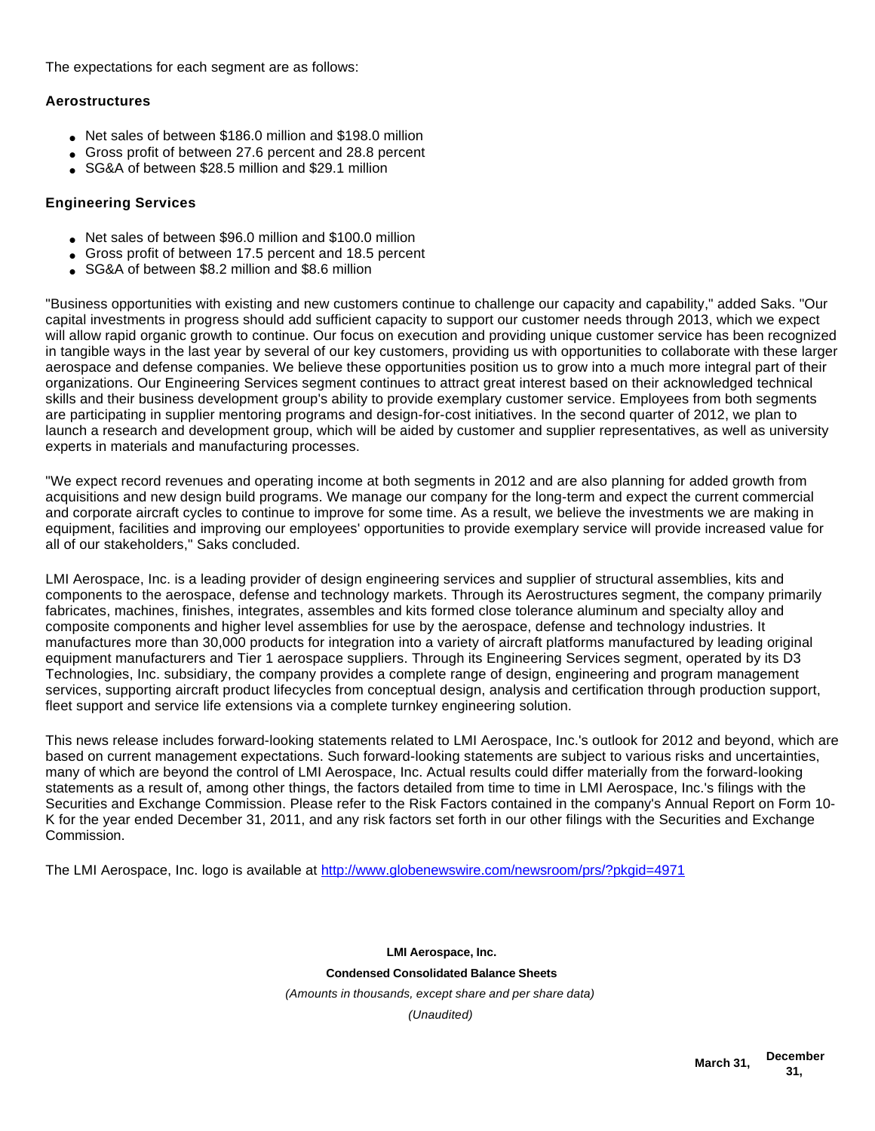The expectations for each segment are as follows:

#### **Aerostructures**

- Net sales of between \$186.0 million and \$198.0 million
- Gross profit of between 27.6 percent and 28.8 percent
- SG&A of between \$28.5 million and \$29.1 million

### **Engineering Services**

- Net sales of between \$96.0 million and \$100.0 million
- Gross profit of between 17.5 percent and 18.5 percent
- SG&A of between \$8.2 million and \$8.6 million

"Business opportunities with existing and new customers continue to challenge our capacity and capability," added Saks. "Our capital investments in progress should add sufficient capacity to support our customer needs through 2013, which we expect will allow rapid organic growth to continue. Our focus on execution and providing unique customer service has been recognized in tangible ways in the last year by several of our key customers, providing us with opportunities to collaborate with these larger aerospace and defense companies. We believe these opportunities position us to grow into a much more integral part of their organizations. Our Engineering Services segment continues to attract great interest based on their acknowledged technical skills and their business development group's ability to provide exemplary customer service. Employees from both segments are participating in supplier mentoring programs and design-for-cost initiatives. In the second quarter of 2012, we plan to launch a research and development group, which will be aided by customer and supplier representatives, as well as university experts in materials and manufacturing processes.

"We expect record revenues and operating income at both segments in 2012 and are also planning for added growth from acquisitions and new design build programs. We manage our company for the long-term and expect the current commercial and corporate aircraft cycles to continue to improve for some time. As a result, we believe the investments we are making in equipment, facilities and improving our employees' opportunities to provide exemplary service will provide increased value for all of our stakeholders," Saks concluded.

LMI Aerospace, Inc. is a leading provider of design engineering services and supplier of structural assemblies, kits and components to the aerospace, defense and technology markets. Through its Aerostructures segment, the company primarily fabricates, machines, finishes, integrates, assembles and kits formed close tolerance aluminum and specialty alloy and composite components and higher level assemblies for use by the aerospace, defense and technology industries. It manufactures more than 30,000 products for integration into a variety of aircraft platforms manufactured by leading original equipment manufacturers and Tier 1 aerospace suppliers. Through its Engineering Services segment, operated by its D3 Technologies, Inc. subsidiary, the company provides a complete range of design, engineering and program management services, supporting aircraft product lifecycles from conceptual design, analysis and certification through production support, fleet support and service life extensions via a complete turnkey engineering solution.

This news release includes forward-looking statements related to LMI Aerospace, Inc.'s outlook for 2012 and beyond, which are based on current management expectations. Such forward-looking statements are subject to various risks and uncertainties, many of which are beyond the control of LMI Aerospace, Inc. Actual results could differ materially from the forward-looking statements as a result of, among other things, the factors detailed from time to time in LMI Aerospace, Inc.'s filings with the Securities and Exchange Commission. Please refer to the Risk Factors contained in the company's Annual Report on Form 10- K for the year ended December 31, 2011, and any risk factors set forth in our other filings with the Securities and Exchange Commission.

The LMI Aerospace, Inc. logo is available at <http://www.globenewswire.com/newsroom/prs/?pkgid=4971>

**LMI Aerospace, Inc. Condensed Consolidated Balance Sheets** (Amounts in thousands, except share and per share data) (Unaudited)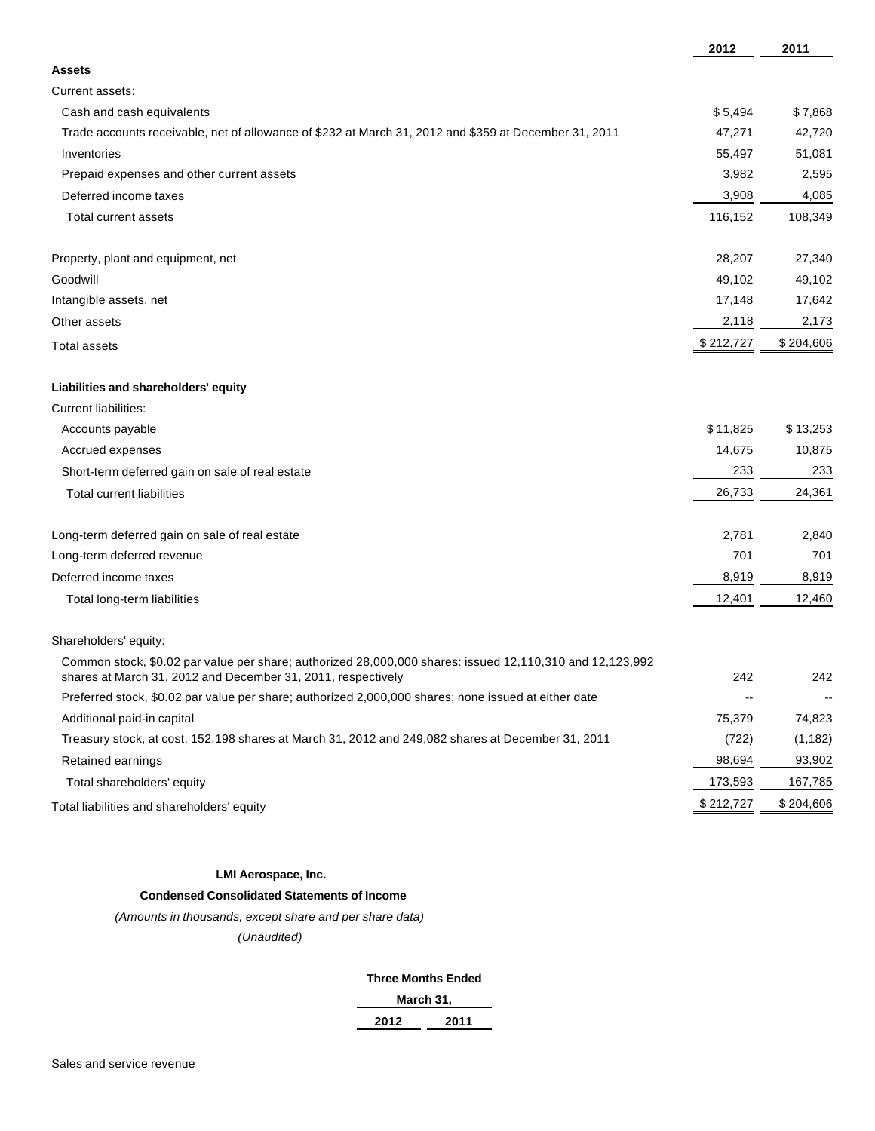|                                                                                                                                                                          | 2012      | 2011      |
|--------------------------------------------------------------------------------------------------------------------------------------------------------------------------|-----------|-----------|
| <b>Assets</b>                                                                                                                                                            |           |           |
| Current assets:                                                                                                                                                          |           |           |
| Cash and cash equivalents                                                                                                                                                | \$5,494   | \$7,868   |
| Trade accounts receivable, net of allowance of \$232 at March 31, 2012 and \$359 at December 31, 2011                                                                    | 47,271    | 42,720    |
| Inventories                                                                                                                                                              | 55,497    | 51,081    |
| Prepaid expenses and other current assets                                                                                                                                | 3,982     | 2,595     |
| Deferred income taxes                                                                                                                                                    | 3,908     | 4,085     |
| <b>Total current assets</b>                                                                                                                                              | 116,152   | 108,349   |
| Property, plant and equipment, net                                                                                                                                       | 28,207    | 27,340    |
| Goodwill                                                                                                                                                                 | 49,102    | 49,102    |
| Intangible assets, net                                                                                                                                                   | 17,148    | 17,642    |
| Other assets                                                                                                                                                             | 2,118     | 2,173     |
| <b>Total assets</b>                                                                                                                                                      | \$212,727 | \$204,606 |
| Liabilities and shareholders' equity                                                                                                                                     |           |           |
| <b>Current liabilities:</b>                                                                                                                                              |           |           |
| Accounts payable                                                                                                                                                         | \$11,825  | \$13,253  |
| Accrued expenses                                                                                                                                                         | 14,675    | 10,875    |
| Short-term deferred gain on sale of real estate                                                                                                                          | 233       | 233       |
| <b>Total current liabilities</b>                                                                                                                                         | 26,733    | 24,361    |
| Long-term deferred gain on sale of real estate                                                                                                                           | 2,781     | 2,840     |
| Long-term deferred revenue                                                                                                                                               | 701       | 701       |
| Deferred income taxes                                                                                                                                                    | 8,919     | 8,919     |
| Total long-term liabilities                                                                                                                                              | 12,401    | 12,460    |
| Shareholders' equity:                                                                                                                                                    |           |           |
| Common stock, \$0.02 par value per share; authorized 28,000,000 shares: issued 12,110,310 and 12,123,992<br>shares at March 31, 2012 and December 31, 2011, respectively | 242       | 242       |
| Preferred stock, \$0.02 par value per share; authorized 2,000,000 shares; none issued at either date                                                                     |           |           |
| Additional paid-in capital                                                                                                                                               | 75,379    | 74,823    |
| Treasury stock, at cost, 152,198 shares at March 31, 2012 and 249,082 shares at December 31, 2011                                                                        | (722)     | (1, 182)  |
| Retained earnings                                                                                                                                                        | 98,694    | 93,902    |
| Total shareholders' equity                                                                                                                                               | 173,593   | 167,785   |
| Total liabilities and shareholders' equity                                                                                                                               | \$212,727 | \$204,606 |

#### **LMI Aerospace, Inc.**

## **Condensed Consolidated Statements of Income**

(Amounts in thousands, except share and per share data)

(Unaudited)

#### **Three Months Ended**

| aarcn 31 |  |
|----------|--|
|          |  |

| 2012 | 2011 |
|------|------|
|      |      |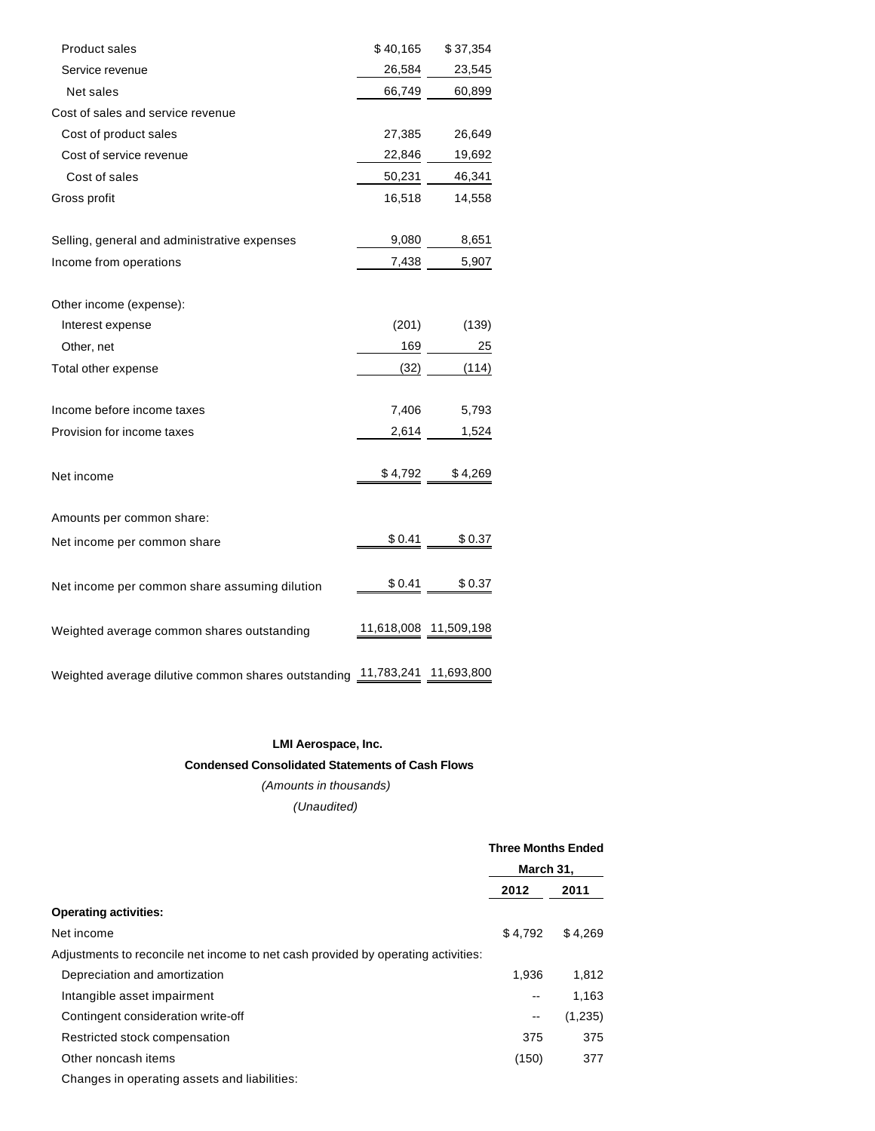| Product sales                                       | \$40,165   | \$37,354              |
|-----------------------------------------------------|------------|-----------------------|
| Service revenue                                     | 26,584     | 23,545                |
| Net sales                                           | 66,749     | 60,899                |
| Cost of sales and service revenue                   |            |                       |
| Cost of product sales                               | 27,385     | 26,649                |
| Cost of service revenue                             | 22,846     | 19,692                |
| Cost of sales                                       | 50,231     | 46,341                |
| Gross profit                                        | 16,518     | 14,558                |
| Selling, general and administrative expenses        | 9,080      | 8,651                 |
| Income from operations                              | 7,438      | 5,907                 |
| Other income (expense):                             |            |                       |
| Interest expense                                    | (201)      | (139)                 |
| Other, net                                          | 169        | 25                    |
| Total other expense                                 | (32)       | (114)                 |
| Income before income taxes                          | 7,406      | 5,793                 |
| Provision for income taxes                          | 2,614      | 1,524                 |
| Net income                                          | \$4,792    | \$4,269               |
| Amounts per common share:                           |            |                       |
| Net income per common share                         | \$0.41     | \$0.37                |
| Net income per common share assuming dilution       | \$0.41     | \$0.37                |
| Weighted average common shares outstanding          |            | 11,618,008 11,509,198 |
| Weighted average dilutive common shares outstanding | 11,783,241 | 11,693,800            |

#### **LMI Aerospace, Inc.**

#### **Condensed Consolidated Statements of Cash Flows**

(Amounts in thousands) (Unaudited)

|                                                                                   | <b>Three Months Ended</b><br>March 31, |         |
|-----------------------------------------------------------------------------------|----------------------------------------|---------|
|                                                                                   |                                        |         |
|                                                                                   | 2012                                   | 2011    |
| <b>Operating activities:</b>                                                      |                                        |         |
| Net income                                                                        | \$4,792                                | \$4,269 |
| Adjustments to reconcile net income to net cash provided by operating activities: |                                        |         |
| Depreciation and amortization                                                     | 1.936                                  | 1,812   |
| Intangible asset impairment                                                       | --                                     | 1,163   |
| Contingent consideration write-off                                                | $\overline{\phantom{a}}$               | (1,235) |
| Restricted stock compensation                                                     | 375                                    | 375     |
| Other noncash items                                                               | (150)                                  | 377     |
| Changes in operating assets and liabilities:                                      |                                        |         |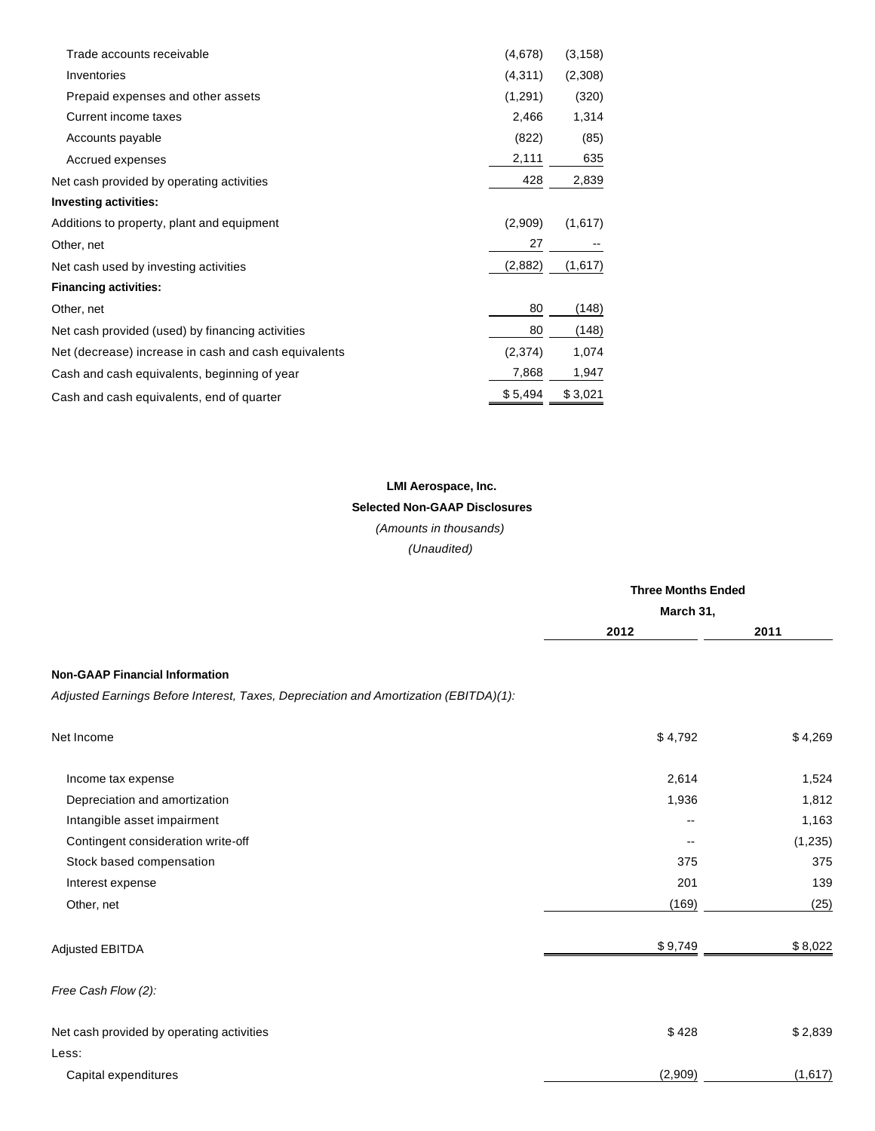| Trade accounts receivable                            | (4,678)  | (3, 158) |
|------------------------------------------------------|----------|----------|
| Inventories                                          | (4, 311) | (2,308)  |
| Prepaid expenses and other assets                    | (1,291)  | (320)    |
| Current income taxes                                 | 2,466    | 1,314    |
| Accounts payable                                     | (822)    | (85)     |
| Accrued expenses                                     | 2,111    | 635      |
| Net cash provided by operating activities            | 428      | 2,839    |
| <b>Investing activities:</b>                         |          |          |
| Additions to property, plant and equipment           | (2,909)  | (1,617)  |
| Other, net                                           | 27       |          |
| Net cash used by investing activities                | (2,882)  | (1,617)  |
| <b>Financing activities:</b>                         |          |          |
| Other, net                                           | 80       | (148)    |
| Net cash provided (used) by financing activities     | 80       | (148)    |
| Net (decrease) increase in cash and cash equivalents | (2,374)  | 1,074    |
| Cash and cash equivalents, beginning of year         | 7,868    | 1,947    |
| Cash and cash equivalents, end of quarter            | \$5,494  | \$3,021  |
|                                                      |          |          |

# **LMI Aerospace, Inc. Selected Non-GAAP Disclosures** (Amounts in thousands)

(Unaudited)

|                                                                                      | <b>Three Months Ended</b> |          |  |
|--------------------------------------------------------------------------------------|---------------------------|----------|--|
|                                                                                      | March 31,                 |          |  |
|                                                                                      | 2012                      | 2011     |  |
| <b>Non-GAAP Financial Information</b>                                                |                           |          |  |
| Adjusted Earnings Before Interest, Taxes, Depreciation and Amortization (EBITDA)(1): |                           |          |  |
| Net Income                                                                           | \$4,792                   | \$4,269  |  |
| Income tax expense                                                                   | 2,614                     | 1,524    |  |
| Depreciation and amortization                                                        | 1,936                     | 1,812    |  |
| Intangible asset impairment                                                          | $\overline{\phantom{a}}$  | 1,163    |  |
| Contingent consideration write-off                                                   | $-$                       | (1, 235) |  |
| Stock based compensation                                                             | 375                       | 375      |  |
| Interest expense                                                                     | 201                       | 139      |  |
| Other, net                                                                           | (169)                     | (25)     |  |
| Adjusted EBITDA                                                                      | \$9,749                   | \$8,022  |  |
| Free Cash Flow (2):                                                                  |                           |          |  |
| Net cash provided by operating activities                                            | \$428                     | \$2,839  |  |
| Less:                                                                                |                           |          |  |
| Capital expenditures                                                                 | (2,909)                   | (1,617)  |  |